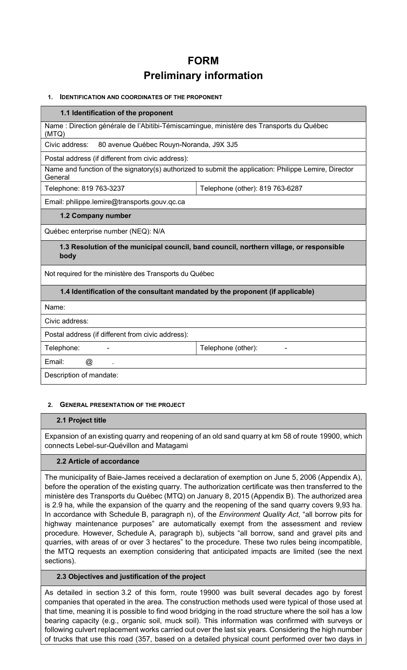# FORM Preliminary information

#### 1. IDENTIFICATION AND COORDINATES OF THE PROPONENT

#### 1.1 Identification of the proponent

Name : Direction générale de l'Abitibi-Témiscamingue, ministère des Transports du Québec (MTQ)

Civic address: 80 avenue Québec Rouyn-Noranda, J9X 3J5

Postal address (if different from civic address):

Name and function of the signatory(s) authorized to submit the application: Philippe Lemire, Director **General** 

Telephone: 819 763-3237 Telephone (other): 819 763-6287

Email: philippe.lemire@transports.gouv.qc.ca

#### 1.2 Company number

Québec enterprise number (NEQ): N/A

# 1.3 Resolution of the municipal council, band council, northern village, or responsible body

Not required for the ministère des Transports du Québec

# 1.4 Identification of the consultant mandated by the proponent (if applicable)

Name:

Civic address:

Postal address (if different from civic address):

Telephone: Telephone (other):

Email: @ .

Description of mandate:

# 2. GENERAL PRESENTATION OF THE PROJECT

# 2.1 Project title

Expansion of an existing quarry and reopening of an old sand quarry at km 58 of route 19900, which connects Lebel-sur-Quévillon and Matagami

# 2.2 Article of accordance

The municipality of Baie-James received a declaration of exemption on June 5, 2006 (Appendix A), before the operation of the existing quarry. The authorization certificate was then transferred to the ministère des Transports du Québec (MTQ) on January 8, 2015 (Appendix B). The authorized area is 2.9 ha, while the expansion of the quarry and the reopening of the sand quarry covers 9,93 ha. In accordance with Schedule B, paragraph n), of the *Environment Quality Act*, "all borrow pits for highway maintenance purposes" are automatically exempt from the assessment and review procedure. However, Schedule A, paragraph b), subjects "all borrow, sand and gravel pits and quarries, with areas of or over 3 hectares" to the procedure. These two rules being incompatible, the MTQ requests an exemption considering that anticipated impacts are limited (see the next sections).

# 2.3 Objectives and justification of the project

As detailed in section 3.2 of this form, route 19900 was built several decades ago by forest companies that operated in the area. The construction methods used were typical of those used at that time, meaning it is possible to find wood bridging in the road structure where the soil has a low bearing capacity (e.g., organic soil, muck soil). This information was confirmed with surveys or following culvert replacement works carried out over the last six years. Considering the high number of trucks that use this road (357, based on a detailed physical count performed over two days in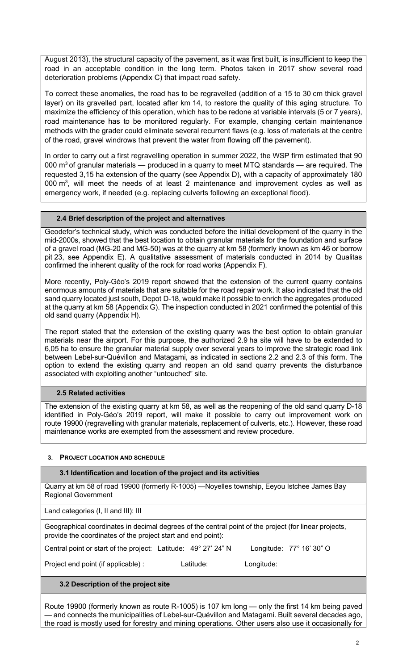August 2013), the structural capacity of the pavement, as it was first built, is insufficient to keep the road in an acceptable condition in the long term. Photos taken in 2017 show several road deterioration problems (Appendix C) that impact road safety.

To correct these anomalies, the road has to be regravelled (addition of a 15 to 30 cm thick gravel layer) on its gravelled part, located after km 14, to restore the quality of this aging structure. To maximize the efficiency of this operation, which has to be redone at variable intervals (5 or 7 years), road maintenance has to be monitored regularly. For example, changing certain maintenance methods with the grader could eliminate several recurrent flaws (e.g. loss of materials at the centre of the road, gravel windrows that prevent the water from flowing off the pavement).

In order to carry out a first regravelling operation in summer 2022, the WSP firm estimated that 90 000  $\text{m}^3$  of granular materials — produced in a quarry to meet MTQ standards — are required. The requested 3,15 ha extension of the quarry (see Appendix D), with a capacity of approximately 180 000  $\mathrm{m}^3$ , will meet the needs of at least 2 maintenance and improvement cycles as well as emergency work, if needed (e.g. replacing culverts following an exceptional flood).

# 2.4 Brief description of the project and alternatives

Geodefor's technical study, which was conducted before the initial development of the quarry in the mid-2000s, showed that the best location to obtain granular materials for the foundation and surface of a gravel road (MG-20 and MG-50) was at the quarry at km 58 (formerly known as km 46 or borrow pit 23, see Appendix E). A qualitative assessment of materials conducted in 2014 by Qualitas confirmed the inherent quality of the rock for road works (Appendix F).

More recently, Poly-Géo's 2019 report showed that the extension of the current quarry contains enormous amounts of materials that are suitable for the road repair work. It also indicated that the old sand quarry located just south, Depot D-18, would make it possible to enrich the aggregates produced at the quarry at km 58 (Appendix G). The inspection conducted in 2021 confirmed the potential of this old sand quarry (Appendix H).

The report stated that the extension of the existing quarry was the best option to obtain granular materials near the airport. For this purpose, the authorized 2.9 ha site will have to be extended to 6,05 ha to ensure the granular material supply over several years to improve the strategic road link between Lebel-sur-Quévillon and Matagami, as indicated in sections 2.2 and 2.3 of this form. The option to extend the existing quarry and reopen an old sand quarry prevents the disturbance associated with exploiting another "untouched" site.

# 2.5 Related activities

The extension of the existing quarry at km 58, as well as the reopening of the old sand quarry D-18 identified in Poly-Géo's 2019 report, will make it possible to carry out improvement work on route 19900 (regravelling with granular materials, replacement of culverts, etc.). However, these road maintenance works are exempted from the assessment and review procedure.

# 3. PROJECT LOCATION AND SCHEDULE

# 3.1 Identification and location of the project and its activities

Quarry at km 58 of road 19900 (formerly R-1005) —Noyelles township, Eeyou Istchee James Bay Regional Government

Land categories (I, II and III): III

Geographical coordinates in decimal degrees of the central point of the project (for linear projects, provide the coordinates of the project start and end point):

Central point or start of the project: Latitude: 49° 27' 24" N Longitude: 77° 16' 30" O

Project end point (if applicable) : Latitude: Longitude:

# 3.2 Description of the project site

Route 19900 (formerly known as route R-1005) is 107 km long — only the first 14 km being paved — and connects the municipalities of Lebel-sur-Quévillon and Matagami. Built several decades ago, the road is mostly used for forestry and mining operations. Other users also use it occasionally for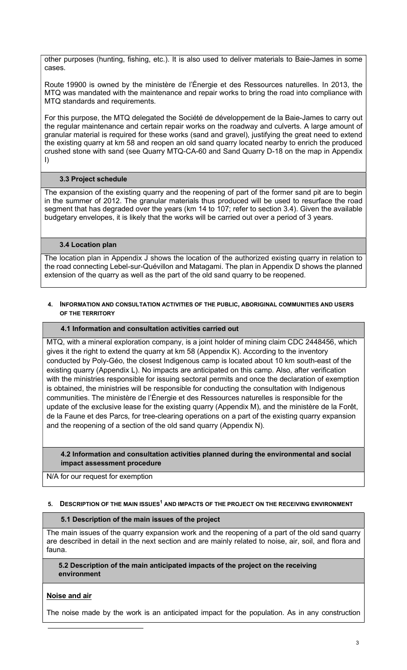other purposes (hunting, fishing, etc.). It is also used to deliver materials to Baie-James in some cases.

Route 19900 is owned by the ministère de l'Énergie et des Ressources naturelles. In 2013, the MTQ was mandated with the maintenance and repair works to bring the road into compliance with MTQ standards and requirements.

For this purpose, the MTQ delegated the Société de développement de la Baie-James to carry out the regular maintenance and certain repair works on the roadway and culverts. A large amount of granular material is required for these works (sand and gravel), justifying the great need to extend the existing quarry at km 58 and reopen an old sand quarry located nearby to enrich the produced crushed stone with sand (see Quarry MTQ-CA-60 and Sand Quarry D-18 on the map in Appendix I)

# 3.3 Project schedule

The expansion of the existing quarry and the reopening of part of the former sand pit are to begin in the summer of 2012. The granular materials thus produced will be used to resurface the road segment that has degraded over the years (km 14 to 107; refer to section 3.4). Given the available budgetary envelopes, it is likely that the works will be carried out over a period of 3 years.

# 3.4 Location plan

The location plan in Appendix J shows the location of the authorized existing quarry in relation to the road connecting Lebel-sur-Quévillon and Matagami. The plan in Appendix D shows the planned extension of the quarry as well as the part of the old sand quarry to be reopened.

#### 4. INFORMATION AND CONSULTATION ACTIVITIES OF THE PUBLIC, ABORIGINAL COMMUNITIES AND USERS OF THE TERRITORY

#### 4.1 Information and consultation activities carried out

MTQ, with a mineral exploration company, is a joint holder of mining claim CDC 2448456, which gives it the right to extend the quarry at km 58 (Appendix K). According to the inventory conducted by Poly-Géo, the closest Indigenous camp is located about 10 km south-east of the existing quarry (Appendix L). No impacts are anticipated on this camp. Also, after verification with the ministries responsible for issuing sectoral permits and once the declaration of exemption is obtained, the ministries will be responsible for conducting the consultation with Indigenous communities. The ministère de l'Énergie et des Ressources naturelles is responsible for the update of the exclusive lease for the existing quarry (Appendix M), and the ministère de la Forêt, de la Faune et des Parcs, for tree-clearing operations on a part of the existing quarry expansion and the reopening of a section of the old sand quarry (Appendix N).

4.2 Information and consultation activities planned during the environmental and social impact assessment procedure

N/A for our request for exemption

#### 5. DESCRIPTION OF THE MAIN ISSUES<sup>1</sup> AND IMPACTS OF THE PROJECT ON THE RECEIVING ENVIRONMENT

#### 5.1 Description of the main issues of the project

The main issues of the quarry expansion work and the reopening of a part of the old sand quarry are described in detail in the next section and are mainly related to noise, air, soil, and flora and fauna.

5.2 Description of the main anticipated impacts of the project on the receiving environment

# Noise and air

The noise made by the work is an anticipated impact for the population. As in any construction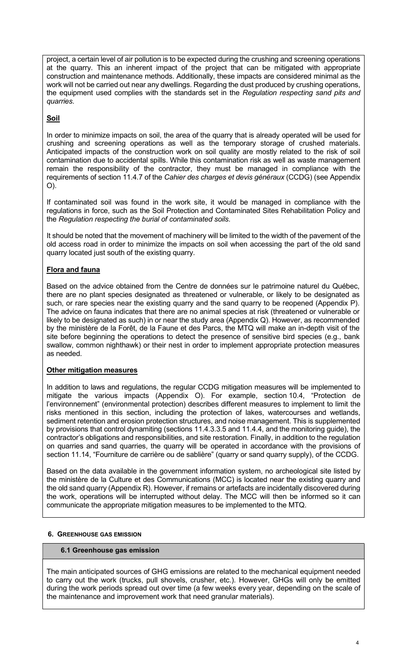project, a certain level of air pollution is to be expected during the crushing and screening operations at the quarry. This an inherent impact of the project that can be mitigated with appropriate construction and maintenance methods. Additionally, these impacts are considered minimal as the work will not be carried out near any dwellings. Regarding the dust produced by crushing operations, the equipment used complies with the standards set in the Regulation respecting sand pits and quarries.

# **Soil**

In order to minimize impacts on soil, the area of the quarry that is already operated will be used for crushing and screening operations as well as the temporary storage of crushed materials. Anticipated impacts of the construction work on soil quality are mostly related to the risk of soil contamination due to accidental spills. While this contamination risk as well as waste management remain the responsibility of the contractor, they must be managed in compliance with the requirements of section 11.4.7 of the Cahier des charges et devis généraux (CCDG) (see Appendix O).

If contaminated soil was found in the work site, it would be managed in compliance with the regulations in force, such as the Soil Protection and Contaminated Sites Rehabilitation Policy and the Regulation respecting the burial of contaminated soils.

It should be noted that the movement of machinery will be limited to the width of the pavement of the old access road in order to minimize the impacts on soil when accessing the part of the old sand quarry located just south of the existing quarry.

# Flora and fauna

Based on the advice obtained from the Centre de données sur le patrimoine naturel du Québec, there are no plant species designated as threatened or vulnerable, or likely to be designated as such, or rare species near the existing quarry and the sand quarry to be reopened (Appendix P). The advice on fauna indicates that there are no animal species at risk (threatened or vulnerable or likely to be designated as such) in or near the study area (Appendix Q). However, as recommended by the ministère de la Forêt, de la Faune et des Parcs, the MTQ will make an in-depth visit of the site before beginning the operations to detect the presence of sensitive bird species (e.g., bank swallow, common nighthawk) or their nest in order to implement appropriate protection measures as needed.

# Other mitigation measures

In addition to laws and regulations, the regular CCDG mitigation measures will be implemented to mitigate the various impacts (Appendix O). For example, section 10.4, "Protection de l'environnement" (environmental protection) describes different measures to implement to limit the risks mentioned in this section, including the protection of lakes, watercourses and wetlands, sediment retention and erosion protection structures, and noise management. This is supplemented by provisions that control dynamiting (sections 11.4.3.3.5 and 11.4.4, and the monitoring guide), the contractor's obligations and responsibilities, and site restoration. Finally, in addition to the regulation on quarries and sand quarries, the quarry will be operated in accordance with the provisions of section 11.14, "Fourniture de carrière ou de sablière" (quarry or sand quarry supply), of the CCDG.

Based on the data available in the government information system, no archeological site listed by the ministère de la Culture et des Communications (MCC) is located near the existing quarry and the old sand quarry (Appendix R). However, if remains or artefacts are incidentally discovered during the work, operations will be interrupted without delay. The MCC will then be informed so it can communicate the appropriate mitigation measures to be implemented to the MTQ.

# 6. GREENHOUSE GAS EMISSION

# 6.1 Greenhouse gas emission

The main anticipated sources of GHG emissions are related to the mechanical equipment needed to carry out the work (trucks, pull shovels, crusher, etc.). However, GHGs will only be emitted during the work periods spread out over time (a few weeks every year, depending on the scale of the maintenance and improvement work that need granular materials).